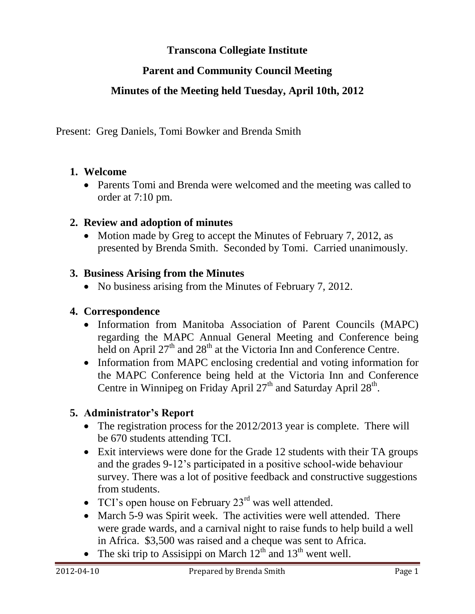# **Transcona Collegiate Institute**

# **Parent and Community Council Meeting**

## **Minutes of the Meeting held Tuesday, April 10th, 2012**

Present: Greg Daniels, Tomi Bowker and Brenda Smith

#### **1. Welcome**

• Parents Tomi and Brenda were welcomed and the meeting was called to order at 7:10 pm.

#### **2. Review and adoption of minutes**

• Motion made by Greg to accept the Minutes of February 7, 2012, as presented by Brenda Smith. Seconded by Tomi. Carried unanimously.

#### **3. Business Arising from the Minutes**

• No business arising from the Minutes of February 7, 2012.

## **4. Correspondence**

- Information from Manitoba Association of Parent Councils (MAPC) regarding the MAPC Annual General Meeting and Conference being held on April  $27<sup>th</sup>$  and  $28<sup>th</sup>$  at the Victoria Inn and Conference Centre.
- Information from MAPC enclosing credential and voting information for the MAPC Conference being held at the Victoria Inn and Conference Centre in Winnipeg on Friday April  $27<sup>th</sup>$  and Saturday April  $28<sup>th</sup>$ .

## **5. Administrator's Report**

- The registration process for the 2012/2013 year is complete. There will be 670 students attending TCI.
- Exit interviews were done for the Grade 12 students with their TA groups and the grades 9-12's participated in a positive school-wide behaviour survey. There was a lot of positive feedback and constructive suggestions from students.
- TCI's open house on February  $23<sup>rd</sup>$  was well attended.
- March 5-9 was Spirit week. The activities were well attended. There were grade wards, and a carnival night to raise funds to help build a well in Africa. \$3,500 was raised and a cheque was sent to Africa.
- The ski trip to Assisippi on March  $12<sup>th</sup>$  and  $13<sup>th</sup>$  went well.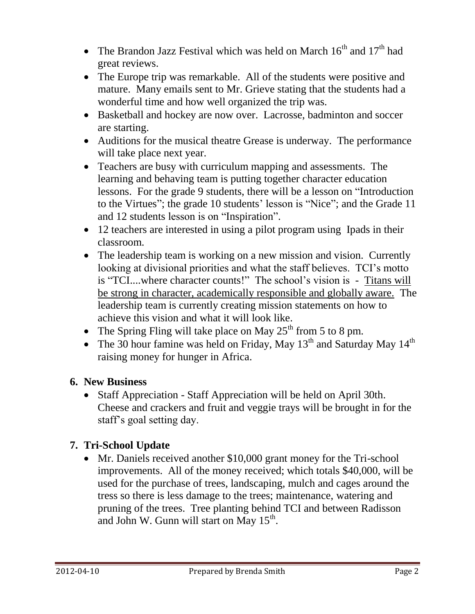- The Brandon Jazz Festival which was held on March  $16<sup>th</sup>$  and  $17<sup>th</sup>$  had great reviews.
- The Europe trip was remarkable. All of the students were positive and mature. Many emails sent to Mr. Grieve stating that the students had a wonderful time and how well organized the trip was.
- Basketball and hockey are now over. Lacrosse, badminton and soccer are starting.
- Auditions for the musical theatre Grease is underway. The performance will take place next year.
- Teachers are busy with curriculum mapping and assessments. The learning and behaving team is putting together character education lessons. For the grade 9 students, there will be a lesson on "Introduction to the Virtues"; the grade 10 students' lesson is "Nice"; and the Grade 11 and 12 students lesson is on "Inspiration".
- 12 teachers are interested in using a pilot program using Ipads in their classroom.
- The leadership team is working on a new mission and vision. Currently looking at divisional priorities and what the staff believes. TCI's motto is "TCI....where character counts!" The school's vision is - Titans will be strong in character, academically responsible and globally aware. The leadership team is currently creating mission statements on how to achieve this vision and what it will look like.
- The Spring Fling will take place on May  $25<sup>th</sup>$  from 5 to 8 pm.
- The 30 hour famine was held on Friday, May  $13<sup>th</sup>$  and Saturday May  $14<sup>th</sup>$ raising money for hunger in Africa.

# **6. New Business**

 Staff Appreciation - Staff Appreciation will be held on April 30th. Cheese and crackers and fruit and veggie trays will be brought in for the staff's goal setting day.

# **7. Tri-School Update**

• Mr. Daniels received another \$10,000 grant money for the Tri-school improvements. All of the money received; which totals \$40,000, will be used for the purchase of trees, landscaping, mulch and cages around the tress so there is less damage to the trees; maintenance, watering and pruning of the trees. Tree planting behind TCI and between Radisson and John W. Gunn will start on May  $15^{th}$ .